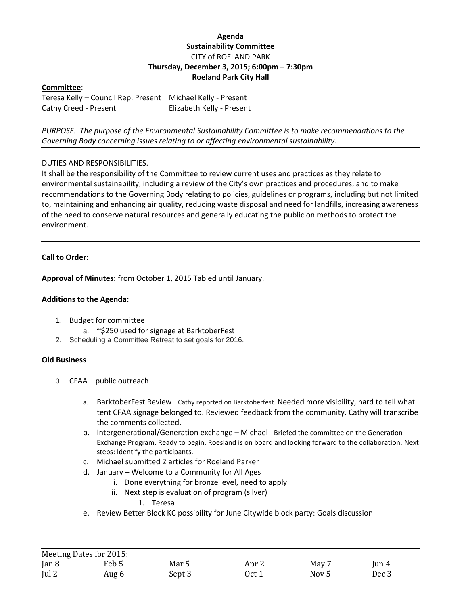# **Agenda Sustainability Committee** CITY of ROELAND PARK **Thursday, December 3, 2015; 6:00pm – 7:30pm Roeland Park City Hall**

# **Committee**:

| Teresa Kelly - Council Rep. Present   Michael Kelly - Present |                           |
|---------------------------------------------------------------|---------------------------|
| Cathy Creed - Present                                         | Elizabeth Kelly - Present |

*PURPOSE. The purpose of the Environmental Sustainability Committee is to make recommendations to the Governing Body concerning issues relating to or affecting environmental sustainability.*

### DUTIES AND RESPONSIBILITIES.

It shall be the responsibility of the Committee to review current uses and practices as they relate to environmental sustainability, including a review of the City's own practices and procedures, and to make recommendations to the Governing Body relating to policies, guidelines or programs, including but not limited to, maintaining and enhancing air quality, reducing waste disposal and need for landfills, increasing awareness of the need to conserve natural resources and generally educating the public on methods to protect the environment.

### **Call to Order:**

**Approval of Minutes:** from October 1, 2015 Tabled until January.

### **Additions to the Agenda:**

- 1. Budget for committee
	- a. ~\$250 used for signage at BarktoberFest
- 2. Scheduling a Committee Retreat to set goals for 2016.

#### **Old Business**

- 3. CFAA public outreach
	- a. BarktoberFest Review– Cathy reported on Barktoberfest. Needed more visibility, hard to tell what tent CFAA signage belonged to. Reviewed feedback from the community. Cathy will transcribe the comments collected.
	- b. Intergenerational/Generation exchange Michael Briefed the committee on the Generation Exchange Program. Ready to begin, Roesland is on board and looking forward to the collaboration. Next steps: Identify the participants.
	- c. Michael submitted 2 articles for Roeland Parker
	- d. January Welcome to a Community for All Ages
		- i. Done everything for bronze level, need to apply
		- ii. Next step is evaluation of program (silver)
			- 1. Teresa
	- e. Review Better Block KC possibility for June Citywide block party: Goals discussion

|               | Meeting Dates for 2015: |        |       |                  |          |
|---------------|-------------------------|--------|-------|------------------|----------|
| $\tan 8$      | Feb 5                   | Mar 5  | Apr 2 | May 7            | $\tan 4$ |
| $\lceil$ ul 2 | Aug 6                   | Sept 3 | Oct 1 | Nov <sub>5</sub> | Dec 3    |